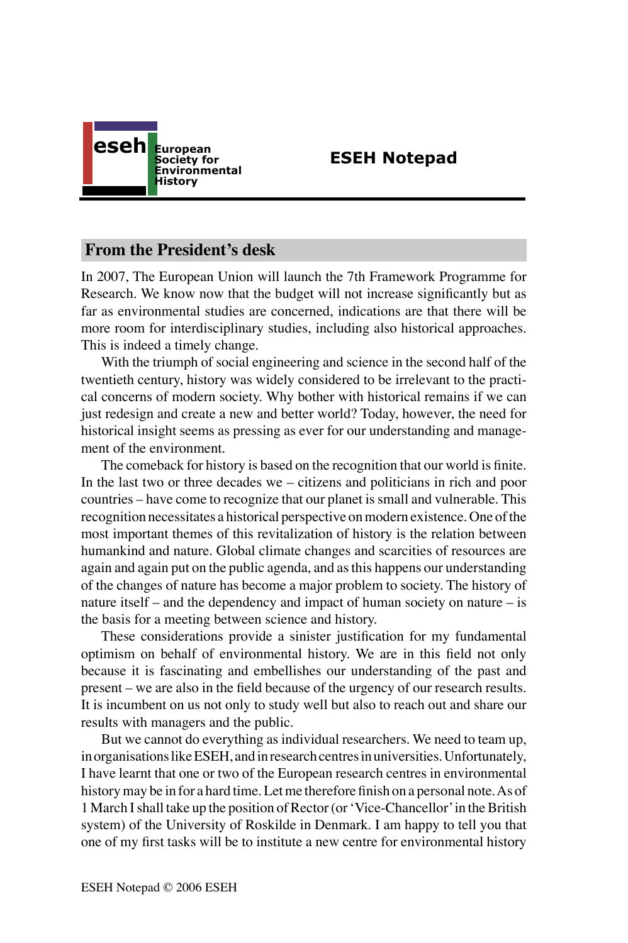

# **ESEH Notepad**

## **From the President's desk**

In 2007, The European Union will launch the 7th Framework Programme for Research. We know now that the budget will not increase significantly but as far as environmental studies are concerned, indications are that there will be more room for interdisciplinary studies, including also historical approaches. This is indeed a timely change.

With the triumph of social engineering and science in the second half of the twentieth century, history was widely considered to be irrelevant to the practical concerns of modern society. Why bother with historical remains if we can just redesign and create a new and better world? Today, however, the need for historical insight seems as pressing as ever for our understanding and management of the environment.

The comeback for history is based on the recognition that our world is finite. In the last two or three decades we – citizens and politicians in rich and poor countries – have come to recognize that our planet is small and vulnerable. This recognition necessitates a historical perspective on modern existence. One of the most important themes of this revitalization of history is the relation between humankind and nature. Global climate changes and scarcities of resources are again and again put on the public agenda, and as this happens our understanding of the changes of nature has become a major problem to society. The history of nature itself – and the dependency and impact of human society on nature – is the basis for a meeting between science and history.

These considerations provide a sinister justification for my fundamental optimism on behalf of environmental history. We are in this field not only because it is fascinating and embellishes our understanding of the past and present – we are also in the field because of the urgency of our research results. It is incumbent on us not only to study well but also to reach out and share our results with managers and the public.

But we cannot do everything as individual researchers. We need to team up, in organisations like ESEH, and in research centres in universities. Unfortunately, I have learnt that one or two of the European research centres in environmental history may be in for a hard time. Let me therefore finish on a personal note. As of 1 March I shall take up the position of Rector (or ʻVice-Chancellor' in the British system) of the University of Roskilde in Denmark. I am happy to tell you that one of my first tasks will be to institute a new centre for environmental history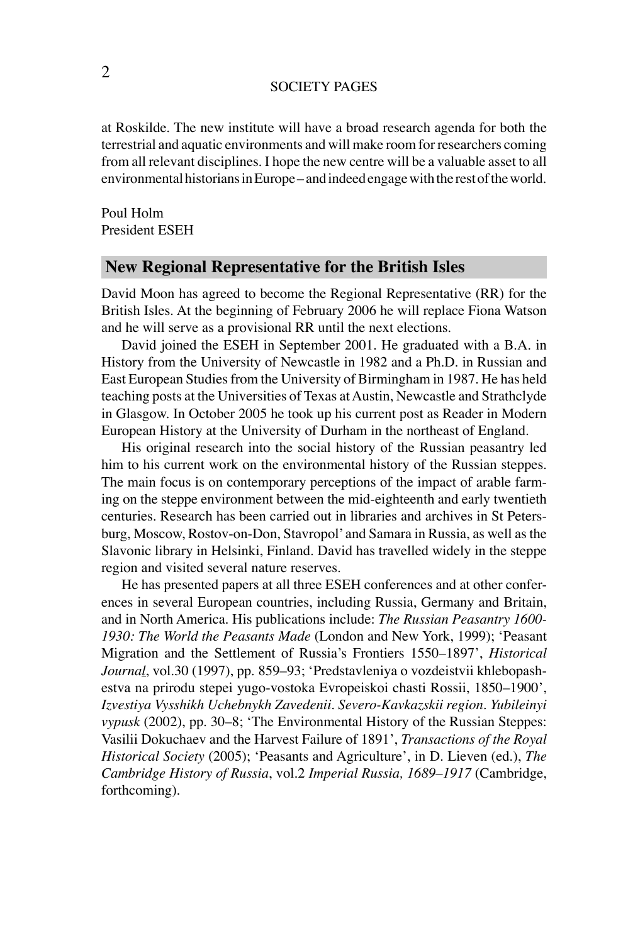#### SOCIETY PAGES

at Roskilde. The new institute will have a broad research agenda for both the terrestrial and aquatic environments and will make room for researchers coming from all relevant disciplines. I hope the new centre will be a valuable asset to all environmental historians in Europe – and indeed engage with the rest of the world.

Poul Holm President ESEH

## **New Regional Representative for the British Isles**

David Moon has agreed to become the Regional Representative (RR) for the British Isles. At the beginning of February 2006 he will replace Fiona Watson and he will serve as a provisional RR until the next elections.

David joined the ESEH in September 2001. He graduated with a B.A. in History from the University of Newcastle in 1982 and a Ph.D. in Russian and East European Studies from the University of Birmingham in 1987. He has held teaching posts at the Universities of Texas at Austin, Newcastle and Strathclyde in Glasgow. In October 2005 he took up his current post as Reader in Modern European History at the University of Durham in the northeast of England.

His original research into the social history of the Russian peasantry led him to his current work on the environmental history of the Russian steppes. The main focus is on contemporary perceptions of the impact of arable farming on the steppe environment between the mid-eighteenth and early twentieth centuries. Research has been carried out in libraries and archives in St Petersburg, Moscow, Rostov-on-Don, Stavropol' and Samara in Russia, as well as the Slavonic library in Helsinki, Finland. David has travelled widely in the steppe region and visited several nature reserves.

He has presented papers at all three ESEH conferences and at other conferences in several European countries, including Russia, Germany and Britain, and in North America. His publications include: *The Russian Peasantry 1600- 1930: The World the Peasants Made* (London and New York, 1999); ʻPeasant Migration and the Settlement of Russia's Frontiers 1550–1897', *Historical Journal*, vol.30 (1997), pp. 859–93; ʻPredstavleniya o vozdeistvii khlebopashestva na prirodu stepei yugo-vostoka Evropeiskoi chasti Rossii, 1850–1900', *Izvestiya Vysshikh Uchebnykh Zavedenii. Severo-Kavkazskii region. Yubileinyi vypusk* (2002), pp. 30–8; ʻThe Environmental History of the Russian Steppes: Vasilii Dokuchaev and the Harvest Failure of 1891', *Transactions of the Royal Historical Society* (2005); ʻPeasants and Agriculture', in D. Lieven (ed.), *The Cambridge History of Russia*, vol.2 *Imperial Russia, 1689–1917* (Cambridge, forthcoming).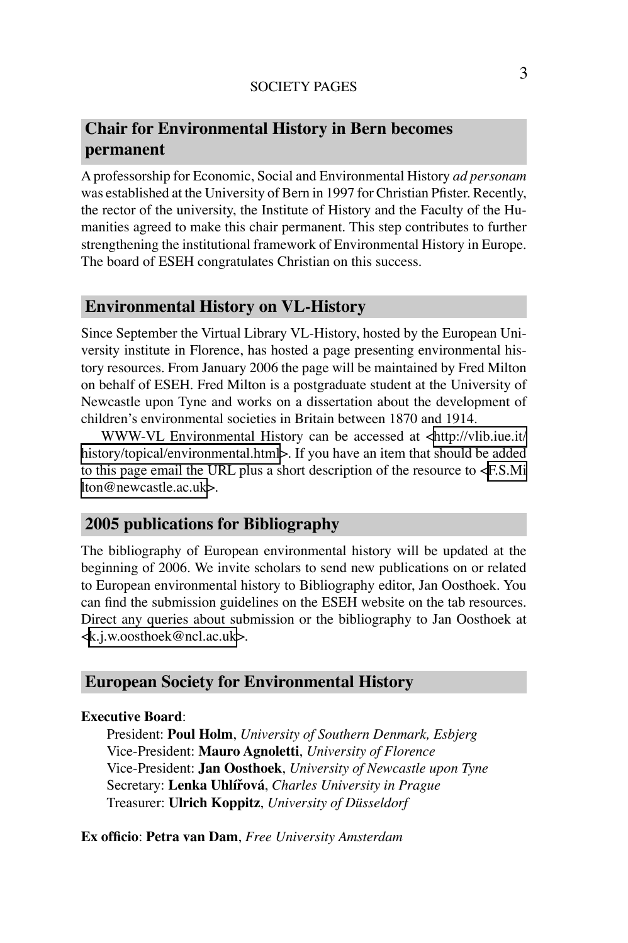### SOCIETY PAGES

# **Chair for Environmental History in Bern becomes permanent**

A professorship for Economic, Social and Environmental History *ad personam*  was established at the University of Bern in 1997 for Christian Pfister. Recently, the rector of the university, the Institute of History and the Faculty of the Humanities agreed to make this chair permanent. This step contributes to further strengthening the institutional framework of Environmental History in Europe. The board of ESEH congratulates Christian on this success.

# **Environmental History on VL-History**

Since September the Virtual Library VL-History, hosted by the European University institute in Florence, has hosted a page presenting environmental history resources. From January 2006 the page will be maintained by Fred Milton on behalf of ESEH. Fred Milton is a postgraduate student at the University of Newcastle upon Tyne and works on a dissertation about the development of children's environmental societies in Britain between 1870 and 1914.

WWW-VL Environmental History can be accessed at [<http://vlib.iue.it/](http://vlib.iue.it/history/topical/environmental.html) [history/topical/environmental.html>](http://vlib.iue.it/history/topical/environmental.html). If you have an item that should be added to this page email the URL plus a short description of the resource to [<F.S.Mi](mailto:F.S.Milton@newcastle.ac.uk) [lton@newcastle.ac.uk>](mailto:F.S.Milton@newcastle.ac.uk).

## **2005 publications for Bibliography**

The bibliography of European environmental history will be updated at the beginning of 2006. We invite scholars to send new publications on or related to European environmental history to Bibliography editor, Jan Oosthoek. You can find the submission guidelines on the ESEH website on the tab resources. Direct any queries about submission or the bibliography to Jan Oosthoek at [<k.j.w.oosthoek@ncl.ac.uk>](mailto: k.j.w.oosthoek@ncl.ac.uk).

### **European Society for Environmental History**

### **Executive Board**:

President: **Poul Holm**, *University of Southern Denmark, Esbjerg* Vice-President: **Mauro Agnoletti**, *University of Florence* Vice-President: **Jan Oosthoek**, *University of Newcastle upon Tyne* Secretary: **Lenka Uhlířová**, *Charles University in Prague* Treasurer: **Ulrich Koppitz**, *University of Düsseldorf*

**Ex officio**: **Petra van Dam**, *Free University Amsterdam*